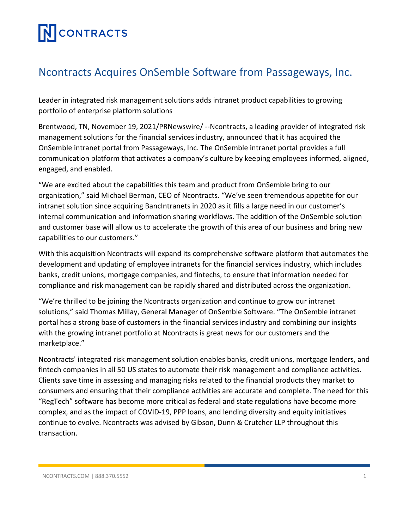# **NCONTRACTS**

### Ncontracts Acquires OnSemble Software from Passageways, Inc.

Leader in integrated risk management solutions adds intranet product capabilities to growing portfolio of enterprise platform solutions

Brentwood, TN, November 19, 2021/PRNewswire/ --Ncontracts, a leading provider of integrated risk management solutions for the financial services industry, announced that it has acquired the OnSemble intranet portal from Passageways, Inc. The OnSemble intranet portal provides a full communication platform that activates a company's culture by keeping employees informed, aligned, engaged, and enabled.

"We are excited about the capabilities this team and product from OnSemble bring to our organization," said Michael Berman, CEO of Ncontracts. "We've seen tremendous appetite for our intranet solution since acquiring BancIntranets in 2020 as it fills a large need in our customer's internal communication and information sharing workflows. The addition of the OnSemble solution and customer base will allow us to accelerate the growth of this area of our business and bring new capabilities to our customers."

With this acquisition Ncontracts will expand its comprehensive software platform that automates the development and updating of employee intranets for the financial services industry, which includes banks, credit unions, mortgage companies, and fintechs, to ensure that information needed for compliance and risk management can be rapidly shared and distributed across the organization.

"We're thrilled to be joining the Ncontracts organization and continue to grow our intranet solutions," said Thomas Millay, General Manager of OnSemble Software. "The OnSemble intranet portal has a strong base of customers in the financial services industry and combining our insights with the growing intranet portfolio at Ncontracts is great news for our customers and the marketplace."

Ncontracts' integrated risk management solution enables banks, credit unions, mortgage lenders, and fintech companies in all 50 US states to automate their risk management and compliance activities. Clients save time in assessing and managing risks related to the financial products they market to consumers and ensuring that their compliance activities are accurate and complete. The need for this "RegTech" software has become more critical as federal and state regulations have become more complex, and as the impact of COVID-19, PPP loans, and lending diversity and equity initiatives continue to evolve. Ncontracts was advised by Gibson, Dunn & Crutcher LLP throughout this transaction.